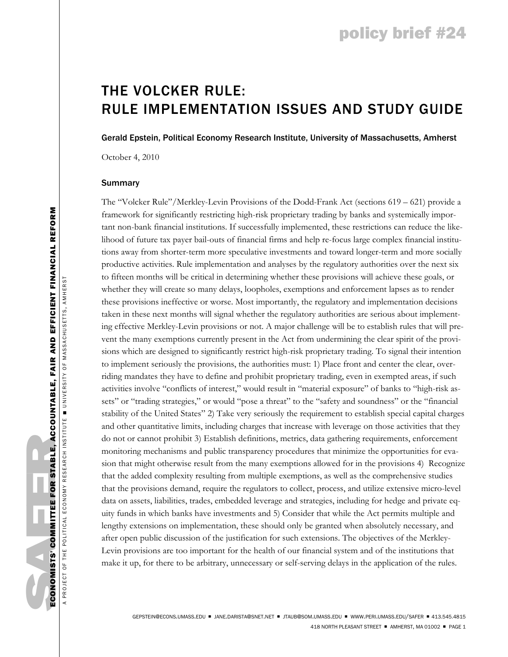# THE VOLCKER RULE: RULE IMPLEMENTATION ISSUES AND STUDY GUIDE

Gerald Epstein, Political Economy Research Institute, University of Massachusetts, Amherst

October 4, 2010

## Summary

The "Volcker Rule"/Merkley-Levin Provisions of the Dodd-Frank Act (sections 619 – 621) provide a framework for significantly restricting high-risk proprietary trading by banks and systemically important non-bank financial institutions. If successfully implemented, these restrictions can reduce the likelihood of future tax payer bail-outs of financial firms and help re-focus large complex financial institutions away from shorter-term more speculative investments and toward longer-term and more socially productive activities. Rule implementation and analyses by the regulatory authorities over the next six to fifteen months will be critical in determining whether these provisions will achieve these goals, or whether they will create so many delays, loopholes, exemptions and enforcement lapses as to render these provisions ineffective or worse. Most importantly, the regulatory and implementation decisions taken in these next months will signal whether the regulatory authorities are serious about implementing effective Merkley-Levin provisions or not. A major challenge will be to establish rules that will prevent the many exemptions currently present in the Act from undermining the clear spirit of the provisions which are designed to significantly restrict high-risk proprietary trading. To signal their intention to implement seriously the provisions, the authorities must: 1) Place front and center the clear, overriding mandates they have to define and prohibit proprietary trading, even in exempted areas, if such activities involve "conflicts of interest," would result in "material exposure" of banks to "high-risk assets" or "trading strategies," or would "pose a threat" to the "safety and soundness" or the "financial stability of the United States" 2) Take very seriously the requirement to establish special capital charges and other quantitative limits, including charges that increase with leverage on those activities that they do not or cannot prohibit 3) Establish definitions, metrics, data gathering requirements, enforcement monitoring mechanisms and public transparency procedures that minimize the opportunities for evasion that might otherwise result from the many exemptions allowed for in the provisions 4) Recognize that the added complexity resulting from multiple exemptions, as well as the comprehensive studies that the provisions demand, require the regulators to collect, process, and utilize extensive micro-level data on assets, liabilities, trades, embedded leverage and strategies, including for hedge and private equity funds in which banks have investments and 5) Consider that while the Act permits multiple and lengthy extensions on implementation, these should only be granted when absolutely necessary, and after open public discussion of the justification for such extensions. The objectives of the Merkley-Levin provisions are too important for the health of our financial system and of the institutions that make it up, for there to be arbitrary, unnecessary or self-serving delays in the application of the rules.

A PROJECT OF THE POLITICAL ECONOMY RESEARCH INSTITUTE ■ UNIVERSITY OF MASSACHUSETTS , AMHERST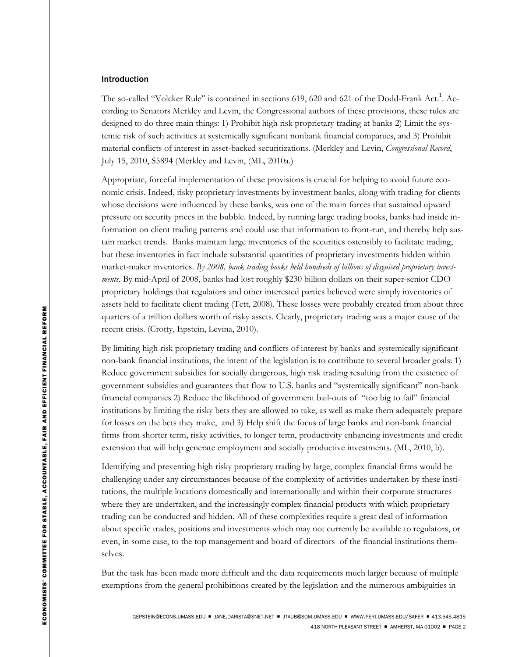#### Introduction

The so-called "Volcker Rule" is contained in sections 619, 620 and 621 of the Dodd-Frank Act.<sup>1</sup>. According to Senators Merkley and Levin, the Congressional authors of these provisions, these rules are designed to do three main things: 1) Prohibit high risk proprietary trading at banks 2) Limit the systemic risk of such activities at systemically significant nonbank financial companies, and 3) Prohibit material conflicts of interest in asset-backed securitizations. (Merkley and Levin, *Congressional Record*, July 15, 2010, S5894 (Merkley and Levin, (ML, 2010a.)

Appropriate, forceful implementation of these provisions is crucial for helping to avoid future economic crisis. Indeed, risky proprietary investments by investment banks, along with trading for clients whose decisions were influenced by these banks, was one of the main forces that sustained upward pressure on security prices in the bubble. Indeed, by running large trading books, banks had inside information on client trading patterns and could use that information to front-run, and thereby help sustain market trends. Banks maintain large inventories of the securities ostensibly to facilitate trading, but these inventories in fact include substantial quantities of proprietary investments hidden within market-maker inventories. *By 2008, bank trading books held hundreds of billions of disguised proprietary investments.* By mid-April of 2008, banks had lost roughly \$230 billion dollars on their super-senior CDO proprietary holdings that regulators and other interested parties believed were simply inventories of assets held to facilitate client trading (Tett, 2008). These losses were probably created from about three quarters of a trillion dollars worth of risky assets. Clearly, proprietary trading was a major cause of the recent crisis. (Crotty, Epstein, Levina, 2010).

By limiting high risk proprietary trading and conflicts of interest by banks and systemically significant non-bank financial institutions, the intent of the legislation is to contribute to several broader goals: 1) Reduce government subsidies for socially dangerous, high risk trading resulting from the existence of government subsidies and guarantees that flow to U.S. banks and "systemically significant" non-bank financial companies 2) Reduce the likelihood of government bail-outs of "too big to fail" financial institutions by limiting the risky bets they are allowed to take, as well as make them adequately prepare for losses on the bets they make, and 3) Help shift the focus of large banks and non-bank financial firms from shorter term, risky activities, to longer term, productivity enhancing investments and credit extension that will help generate employment and socially productive investments. (ML, 2010, b).

Identifying and preventing high risky proprietary trading by large, complex financial firms would be challenging under any circumstances because of the complexity of activities undertaken by these institutions, the multiple locations domestically and internationally and within their corporate structures where they are undertaken, and the increasingly complex financial products with which proprietary trading can be conducted and hidden. All of these complexities require a great deal of information about specific trades, positions and investments which may not currently be available to regulators, or even, in some case, to the top management and board of directors of the financial institutions themselves.

But the task has been made more difficult and the data requirements much larger because of multiple exemptions from the general prohibitions created by the legislation and the numerous ambiguities in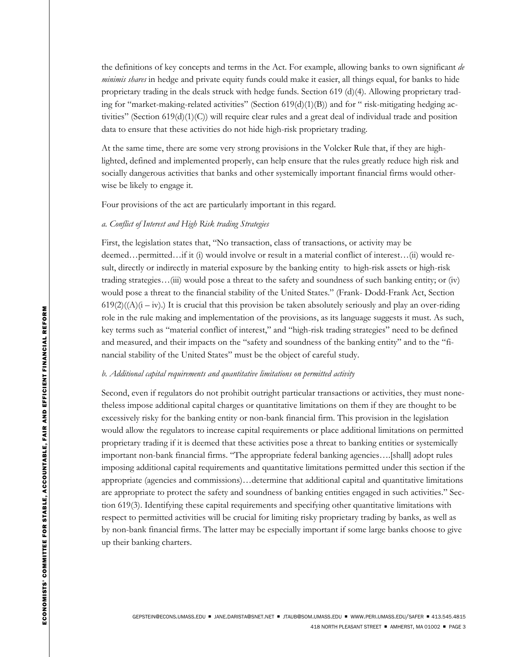the definitions of key concepts and terms in the Act. For example, allowing banks to own significant *de minimis shares* in hedge and private equity funds could make it easier, all things equal, for banks to hide proprietary trading in the deals struck with hedge funds. Section 619 (d)(4). Allowing proprietary trading for "market-making-related activities" (Section  $619(d)(1)(B)$ ) and for " risk-mitigating hedging activities" (Section 619(d)(1)(C)) will require clear rules and a great deal of individual trade and position data to ensure that these activities do not hide high-risk proprietary trading.

At the same time, there are some very strong provisions in the Volcker Rule that, if they are highlighted, defined and implemented properly, can help ensure that the rules greatly reduce high risk and socially dangerous activities that banks and other systemically important financial firms would otherwise be likely to engage it.

Four provisions of the act are particularly important in this regard.

# *a. Conflict of Interest and High Risk trading Strategies*

First, the legislation states that, "No transaction, class of transactions, or activity may be deemed…permitted…if it (i) would involve or result in a material conflict of interest…(ii) would result, directly or indirectly in material exposure by the banking entity to high-risk assets or high-risk trading strategies…(iii) would pose a threat to the safety and soundness of such banking entity; or (iv) would pose a threat to the financial stability of the United States." (Frank- Dodd-Frank Act, Section  $619(2)((A)(i - iv))$  It is crucial that this provision be taken absolutely seriously and play an over-riding role in the rule making and implementation of the provisions, as its language suggests it must. As such, key terms such as "material conflict of interest," and "high-risk trading strategies" need to be defined and measured, and their impacts on the "safety and soundness of the banking entity" and to the "financial stability of the United States" must be the object of careful study.

#### *b. Additional capital requirements and quantitative limitations on permitted activity*

Second, even if regulators do not prohibit outright particular transactions or activities, they must nonetheless impose additional capital charges or quantitative limitations on them if they are thought to be excessively risky for the banking entity or non-bank financial firm. This provision in the legislation would allow the regulators to increase capital requirements or place additional limitations on permitted proprietary trading if it is deemed that these activities pose a threat to banking entities or systemically important non-bank financial firms. "The appropriate federal banking agencies….[shall] adopt rules imposing additional capital requirements and quantitative limitations permitted under this section if the appropriate (agencies and commissions)…determine that additional capital and quantitative limitations are appropriate to protect the safety and soundness of banking entities engaged in such activities." Section 619(3). Identifying these capital requirements and specifying other quantitative limitations with respect to permitted activities will be crucial for limiting risky proprietary trading by banks, as well as by non-bank financial firms. The latter may be especially important if some large banks choose to give up their banking charters.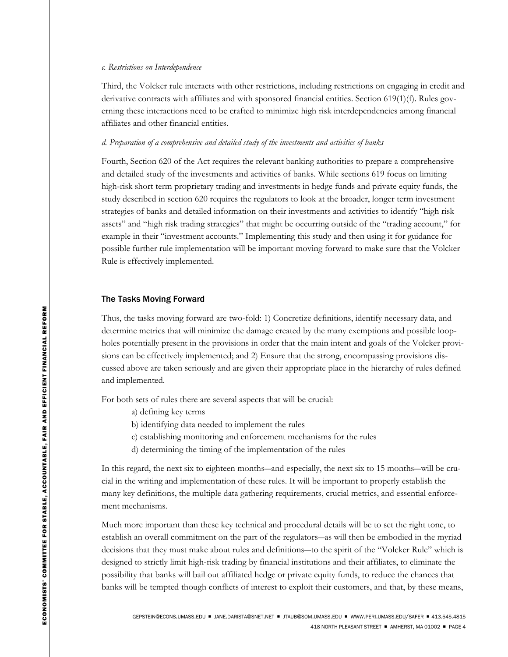#### *c. Restrictions on Interdependence*

Third, the Volcker rule interacts with other restrictions, including restrictions on engaging in credit and derivative contracts with affiliates and with sponsored financial entities. Section 619(1)(f). Rules governing these interactions need to be crafted to minimize high risk interdependencies among financial affiliates and other financial entities.

#### *d. Preparation of a comprehensive and detailed study of the investments and activities of banks*

Fourth, Section 620 of the Act requires the relevant banking authorities to prepare a comprehensive and detailed study of the investments and activities of banks. While sections 619 focus on limiting high-risk short term proprietary trading and investments in hedge funds and private equity funds, the study described in section 620 requires the regulators to look at the broader, longer term investment strategies of banks and detailed information on their investments and activities to identify "high risk assets" and "high risk trading strategies" that might be occurring outside of the "trading account," for example in their "investment accounts." Implementing this study and then using it for guidance for possible further rule implementation will be important moving forward to make sure that the Volcker Rule is effectively implemented.

#### The Tasks Moving Forward

Thus, the tasks moving forward are two-fold: 1) Concretize definitions, identify necessary data, and determine metrics that will minimize the damage created by the many exemptions and possible loopholes potentially present in the provisions in order that the main intent and goals of the Volcker provisions can be effectively implemented; and 2) Ensure that the strong, encompassing provisions discussed above are taken seriously and are given their appropriate place in the hierarchy of rules defined and implemented.

For both sets of rules there are several aspects that will be crucial:

- a) defining key terms
- b) identifying data needed to implement the rules
- c) establishing monitoring and enforcement mechanisms for the rules
- d) determining the timing of the implementation of the rules

In this regard, the next six to eighteen months—and especially, the next six to 15 months—will be crucial in the writing and implementation of these rules. It will be important to properly establish the many key definitions, the multiple data gathering requirements, crucial metrics, and essential enforcement mechanisms.

Much more important than these key technical and procedural details will be to set the right tone, to establish an overall commitment on the part of the regulators―as will then be embodied in the myriad decisions that they must make about rules and definitions―to the spirit of the "Volcker Rule" which is designed to strictly limit high-risk trading by financial institutions and their affiliates, to eliminate the possibility that banks will bail out affiliated hedge or private equity funds, to reduce the chances that banks will be tempted though conflicts of interest to exploit their customers, and that, by these means,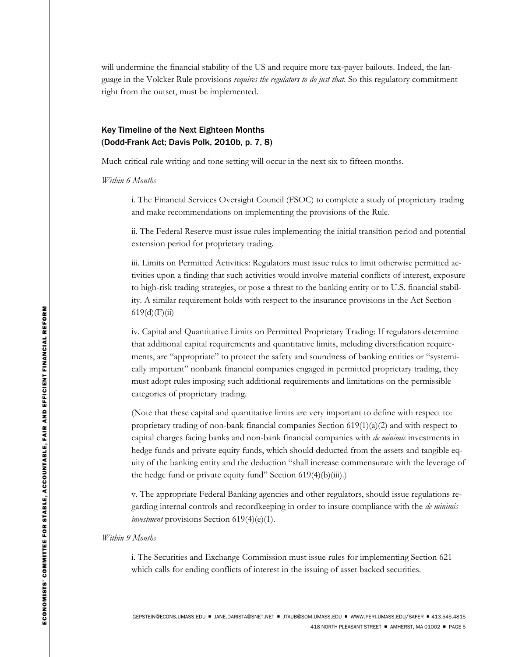will undermine the financial stability of the US and require more tax-payer bailouts. Indeed, the language in the Volcker Rule provisions *requires the regulators to do just that.* So this regulatory commitment right from the outset, must be implemented.

# Key Timeline of the Next Eighteen Months (Dodd-Frank Act; Davis Polk, 2010b, p. 7, 8)

Much critical rule writing and tone setting will occur in the next six to fifteen months.

*Within 6 Months* 

i. The Financial Services Oversight Council (FSOC) to complete a study of proprietary trading and make recommendations on implementing the provisions of the Rule.

ii. The Federal Reserve must issue rules implementing the initial transition period and potential extension period for proprietary trading.

iii. Limits on Permitted Activities: Regulators must issue rules to limit otherwise permitted activities upon a finding that such activities would involve material conflicts of interest, exposure to high-risk trading strategies, or pose a threat to the banking entity or to U.S. financial stability. A similar requirement holds with respect to the insurance provisions in the Act Section  $619(d)(F)(ii)$ 

iv. Capital and Quantitative Limits on Permitted Proprietary Trading: If regulators determine that additional capital requirements and quantitative limits, including diversification requirements, are "appropriate" to protect the safety and soundness of banking entities or "systemically important" nonbank financial companies engaged in permitted proprietary trading, they must adopt rules imposing such additional requirements and limitations on the permissible categories of proprietary trading.

(Note that these capital and quantitative limits are very important to define with respect to: proprietary trading of non-bank financial companies Section  $619(1)(a)(2)$  and with respect to capital charges facing banks and non-bank financial companies with *de minimis* investments in hedge funds and private equity funds, which should deducted from the assets and tangible equity of the banking entity and the deduction "shall increase commensurate with the leverage of the hedge fund or private equity fund" Section 619(4)(b)(iii).)

v. The appropriate Federal Banking agencies and other regulators, should issue regulations regarding internal controls and recordkeeping in order to insure compliance with the *de minimis investment* provisions Section 619(4)(e)(1).

*Within 9 Months* 

i. The Securities and Exchange Commission must issue rules for implementing Section 621 which calls for ending conflicts of interest in the issuing of asset backed securities.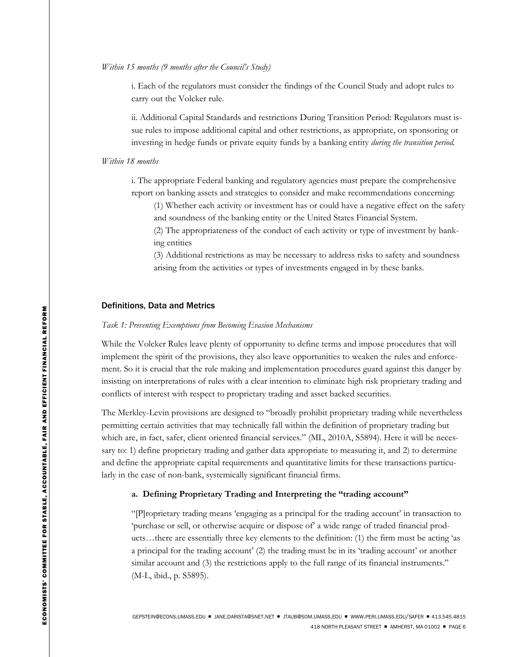# *Within 15 months (9 months after the Council's Study)*

i. Each of the regulators must consider the findings of the Council Study and adopt rules to carry out the Volcker rule.

ii. Additional Capital Standards and restrictions During Transition Period: Regulators must issue rules to impose additional capital and other restrictions, as appropriate, on sponsoring or investing in hedge funds or private equity funds by a banking entity *during the transition period.* 

# *Within 18 months*

i. The appropriate Federal banking and regulatory agencies must prepare the comprehensive report on banking assets and strategies to consider and make recommendations concerning:

(1) Whether each activity or investment has or could have a negative effect on the safety and soundness of the banking entity or the United States Financial System.

(2) The appropriateness of the conduct of each activity or type of investment by banking entities

(3) Additional restrictions as may be necessary to address risks to safety and soundness arising from the activities or types of investments engaged in by these banks.

# Definitions, Data and Metrics

#### *Task 1: Preventing Exemptions from Becoming Evasion Mechanisms*

While the Volcker Rules leave plenty of opportunity to define terms and impose procedures that will implement the spirit of the provisions, they also leave opportunities to weaken the rules and enforcement. So it is crucial that the rule making and implementation procedures guard against this danger by insisting on interpretations of rules with a clear intention to eliminate high risk proprietary trading and conflicts of interest with respect to proprietary trading and asset backed securities.

The Merkley-Levin provisions are designed to "broadly prohibit proprietary trading while nevertheless permitting certain activities that may technically fall within the definition of proprietary trading but which are, in fact, safer, client oriented financial services." (ML, 2010A, S5894). Here it will be necessary to: 1) define proprietary trading and gather data appropriate to measuring it, and 2) to determine and define the appropriate capital requirements and quantitative limits for these transactions particularly in the case of non-bank, systemically significant financial firms.

# **a. Defining Proprietary Trading and Interpreting the "trading account"**

"[P]roprietary trading means 'engaging as a principal for the trading account' in transaction to 'purchase or sell, or otherwise acquire or dispose of' a wide range of traded financial products…there are essentially three key elements to the definition: (1) the firm must be acting 'as a principal for the trading account' (2) the trading must be in its 'trading account' or another similar account and (3) the restrictions apply to the full range of its financial instruments." (M-L, ibid., p. S5895).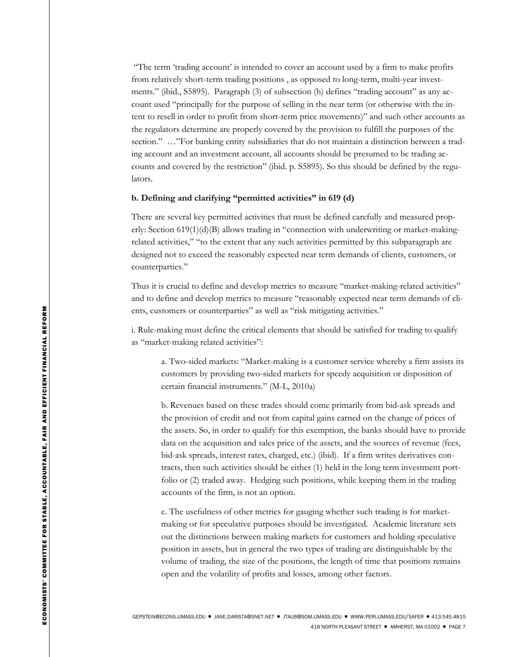"The term 'trading account' is intended to cover an account used by a firm to make profits from relatively short-term trading positions , as opposed to long-term, multi-year investments." (ibid., S5895). Paragraph (3) of subsection (h) defines "trading account" as any account used "principally for the purpose of selling in the near term (or otherwise with the intent to resell in order to profit from short-term price movements)" and such other accounts as the regulators determine are properly covered by the provision to fulfill the purposes of the section." …"For banking entity subsidiaries that do not maintain a distinction between a trading account and an investment account, all accounts should be presumed to be trading accounts and covered by the restriction" (ibid. p. S5895). So this should be defined by the regulators.

## **b. Defining and clarifying "permitted activities" in 619 (d)**

There are several key permitted activities that must be defined carefully and measured properly: Section 619(1)(d)(B) allows trading in "connection with underwriting or market-makingrelated activities," "to the extent that any such activities permitted by this subparagraph are designed not to exceed the reasonably expected near term demands of clients, customers, or counterparties."

Thus it is crucial to define and develop metrics to measure "market-making-related activities" and to define and develop metrics to measure "reasonably expected near term demands of clients, customers or counterparties" as well as "risk mitigating activities."

i. Rule-making must define the critical elements that should be satisfied for trading to qualify as "market-making related activities":

a. Two-sided markets: "Market-making is a customer service whereby a firm assists its customers by providing two-sided markets for speedy acquisition or disposition of certain financial instruments." (M-L, 2010a)

b. Revenues based on these trades should come primarily from bid-ask spreads and the provision of credit and not from capital gains earned on the change of prices of the assets. So, in order to qualify for this exemption, the banks should have to provide data on the acquisition and sales price of the assets, and the sources of revenue (fees, bid-ask spreads, interest rates, charged, etc.) (ibid). If a firm writes derivatives contracts, then such activities should be either (1) held in the long term investment portfolio or (2) traded away. Hedging such positions, while keeping them in the trading accounts of the firm, is not an option.

c. The usefulness of other metrics for gauging whether such trading is for marketmaking or for speculative purposes should be investigated. Academic literature sets out the distinctions between making markets for customers and holding speculative position in assets, but in general the two types of trading are distinguishable by the volume of trading, the size of the positions, the length of time that positions remains open and the volatility of profits and losses, among other factors.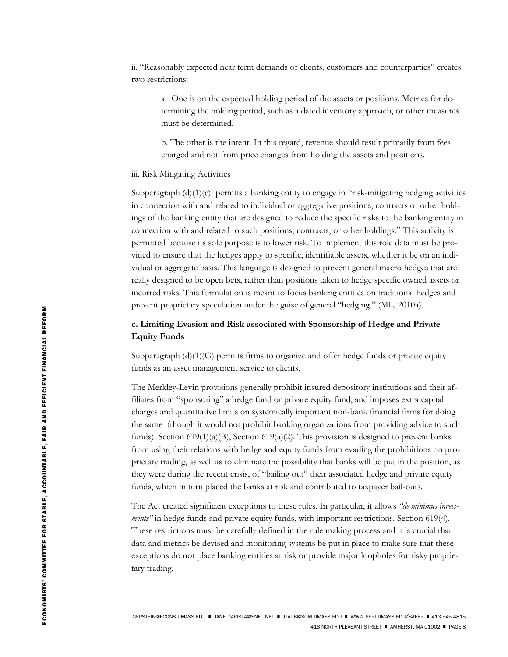ii. "Reasonably expected near term demands of clients, customers and counterparties" creates two restrictions:

a. One is on the expected holding period of the assets or positions. Metrics for determining the holding period, such as a dated inventory approach, or other measures must be determined.

b. The other is the intent. In this regard, revenue should result primarily from fees charged and not from price changes from holding the assets and positions.

# iii. Risk Mitigating Activities

Subparagraph  $(d)(1)(c)$  permits a banking entity to engage in "risk-mitigating hedging activities" in connection with and related to individual or aggregative positions, contracts or other holdings of the banking entity that are designed to reduce the specific risks to the banking entity in connection with and related to such positions, contracts, or other holdings." This activity is permitted because its sole purpose is to lower risk. To implement this role data must be provided to ensure that the hedges apply to specific, identifiable assets, whether it be on an individual or aggregate basis. This language is designed to prevent general macro hedges that are really designed to be open bets, rather than positions taken to hedge specific owned assets or incurred risks. This formulation is meant to focus banking entities on traditional hedges and prevent proprietary speculation under the guise of general "hedging." (ML, 2010a).

# **c. Limiting Evasion and Risk associated with Sponsorship of Hedge and Private Equity Funds**

Subparagraph (d)(1)(G) permits firms to organize and offer hedge funds or private equity funds as an asset management service to clients.

The Merkley-Levin provisions generally prohibit insured depository institutions and their affiliates from "sponsoring" a hedge fund or private equity fund, and imposes extra capital charges and quantitative limits on systemically important non-bank financial firms for doing the same (though it would not prohibit banking organizations from providing advice to such funds). Section 619(1)(a)(B), Section 619(a)(2). This provision is designed to prevent banks from using their relations with hedge and equity funds from evading the prohibitions on proprietary trading, as well as to eliminate the possibility that banks will be put in the position, as they were during the recent crisis, of "bailing out" their associated hedge and private equity funds, which in turn placed the banks at risk and contributed to taxpayer bail-outs.

The Act created significant exceptions to these rules. In particular, it allows *"de minimus investments"* in hedge funds and private equity funds, with important restrictions. Section 619(4). These restrictions must be carefully defined in the rule making process and it is crucial that data and metrics be devised and monitoring systems be put in place to make sure that these exceptions do not place banking entities at risk or provide major loopholes for risky proprietary trading.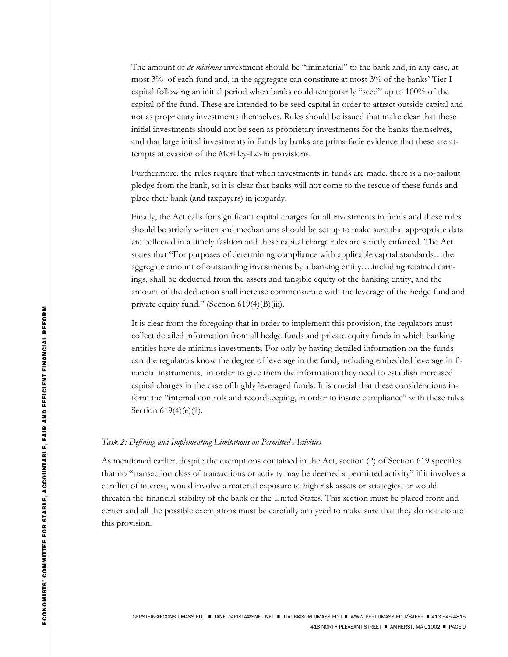The amount of *de minimus* investment should be "immaterial" to the bank and, in any case, at most 3% of each fund and, in the aggregate can constitute at most 3% of the banks' Tier I capital following an initial period when banks could temporarily "seed" up to 100% of the capital of the fund. These are intended to be seed capital in order to attract outside capital and not as proprietary investments themselves. Rules should be issued that make clear that these initial investments should not be seen as proprietary investments for the banks themselves, and that large initial investments in funds by banks are prima facie evidence that these are attempts at evasion of the Merkley-Levin provisions.

Furthermore, the rules require that when investments in funds are made, there is a no-bailout pledge from the bank, so it is clear that banks will not come to the rescue of these funds and place their bank (and taxpayers) in jeopardy.

Finally, the Act calls for significant capital charges for all investments in funds and these rules should be strictly written and mechanisms should be set up to make sure that appropriate data are collected in a timely fashion and these capital charge rules are strictly enforced. The Act states that "For purposes of determining compliance with applicable capital standards…the aggregate amount of outstanding investments by a banking entity….including retained earnings, shall be deducted from the assets and tangible equity of the banking entity, and the amount of the deduction shall increase commensurate with the leverage of the hedge fund and private equity fund." (Section 619(4)(B)(iii).

It is clear from the foregoing that in order to implement this provision, the regulators must collect detailed information from all hedge funds and private equity funds in which banking entities have de minimis investments. For only by having detailed information on the funds can the regulators know the degree of leverage in the fund, including embedded leverage in financial instruments, in order to give them the information they need to establish increased capital charges in the case of highly leveraged funds. It is crucial that these considerations inform the "internal controls and recordkeeping, in order to insure compliance" with these rules Section 619(4)(e)(1).

# *Task 2: Defining and Implementing Limitations on Permitted Activities*

As mentioned earlier, despite the exemptions contained in the Act, section (2) of Section 619 specifies that no "transaction class of transactions or activity may be deemed a permitted activity" if it involves a conflict of interest, would involve a material exposure to high risk assets or strategies, or would threaten the financial stability of the bank or the United States. This section must be placed front and center and all the possible exemptions must be carefully analyzed to make sure that they do not violate this provision.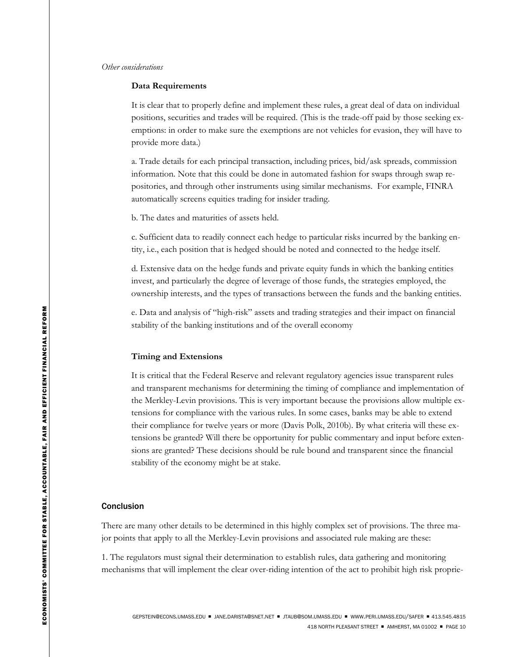#### *Other considerations*

# **Data Requirements**

It is clear that to properly define and implement these rules, a great deal of data on individual positions, securities and trades will be required. (This is the trade-off paid by those seeking exemptions: in order to make sure the exemptions are not vehicles for evasion, they will have to provide more data.)

a. Trade details for each principal transaction, including prices, bid/ask spreads, commission information. Note that this could be done in automated fashion for swaps through swap repositories, and through other instruments using similar mechanisms. For example, FINRA automatically screens equities trading for insider trading.

b. The dates and maturities of assets held.

c. Sufficient data to readily connect each hedge to particular risks incurred by the banking entity, i.e., each position that is hedged should be noted and connected to the hedge itself.

d. Extensive data on the hedge funds and private equity funds in which the banking entities invest, and particularly the degree of leverage of those funds, the strategies employed, the ownership interests, and the types of transactions between the funds and the banking entities.

e. Data and analysis of "high-risk" assets and trading strategies and their impact on financial stability of the banking institutions and of the overall economy

## **Timing and Extensions**

It is critical that the Federal Reserve and relevant regulatory agencies issue transparent rules and transparent mechanisms for determining the timing of compliance and implementation of the Merkley-Levin provisions. This is very important because the provisions allow multiple extensions for compliance with the various rules. In some cases, banks may be able to extend their compliance for twelve years or more (Davis Polk, 2010b). By what criteria will these extensions be granted? Will there be opportunity for public commentary and input before extensions are granted? These decisions should be rule bound and transparent since the financial stability of the economy might be at stake.

#### **Conclusion**

There are many other details to be determined in this highly complex set of provisions. The three major points that apply to all the Merkley-Levin provisions and associated rule making are these:

1. The regulators must signal their determination to establish rules, data gathering and monitoring mechanisms that will implement the clear over-riding intention of the act to prohibit high risk proprie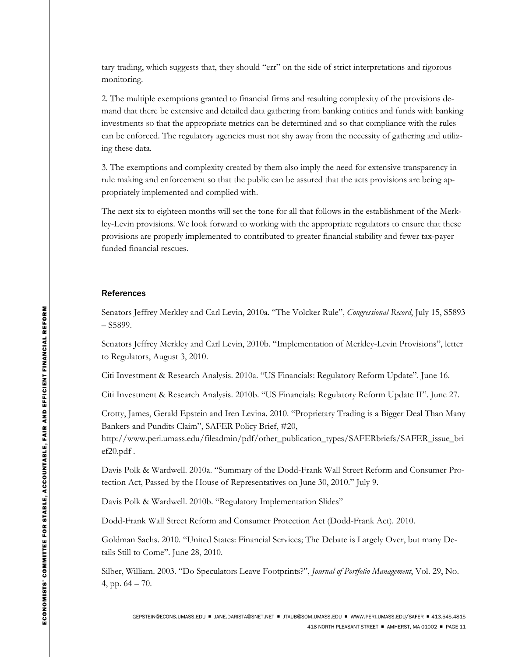tary trading, which suggests that, they should "err" on the side of strict interpretations and rigorous monitoring.

2. The multiple exemptions granted to financial firms and resulting complexity of the provisions demand that there be extensive and detailed data gathering from banking entities and funds with banking investments so that the appropriate metrics can be determined and so that compliance with the rules can be enforced. The regulatory agencies must not shy away from the necessity of gathering and utilizing these data.

3. The exemptions and complexity created by them also imply the need for extensive transparency in rule making and enforcement so that the public can be assured that the acts provisions are being appropriately implemented and complied with.

The next six to eighteen months will set the tone for all that follows in the establishment of the Merkley-Levin provisions. We look forward to working with the appropriate regulators to ensure that these provisions are properly implemented to contributed to greater financial stability and fewer tax-payer funded financial rescues.

## References

Senators Jeffrey Merkley and Carl Levin, 2010a. "The Volcker Rule", *Congressional Record*, July 15, S5893 – S5899.

Senators Jeffrey Merkley and Carl Levin, 2010b. "Implementation of Merkley-Levin Provisions", letter to Regulators, August 3, 2010.

Citi Investment & Research Analysis. 2010a. "US Financials: Regulatory Reform Update". June 16.

Citi Investment & Research Analysis. 2010b. "US Financials: Regulatory Reform Update II". June 27.

Crotty, James, Gerald Epstein and Iren Levina. 2010. "Proprietary Trading is a Bigger Deal Than Many Bankers and Pundits Claim", SAFER Policy Brief, #20,

http://www.peri.umass.edu/fileadmin/pdf/other\_publication\_types/SAFERbriefs/SAFER\_issue\_bri ef20.pdf .

Davis Polk & Wardwell. 2010a. "Summary of the Dodd-Frank Wall Street Reform and Consumer Protection Act, Passed by the House of Representatives on June 30, 2010." July 9.

Davis Polk & Wardwell. 2010b. "Regulatory Implementation Slides"

Dodd-Frank Wall Street Reform and Consumer Protection Act (Dodd-Frank Act). 2010.

Goldman Sachs. 2010. "United States: Financial Services; The Debate is Largely Over, but many Details Still to Come". June 28, 2010.

Silber, William. 2003. "Do Speculators Leave Footprints?", *Journal of Portfolio Management*, Vol. 29, No. 4, pp. 64 – 70.